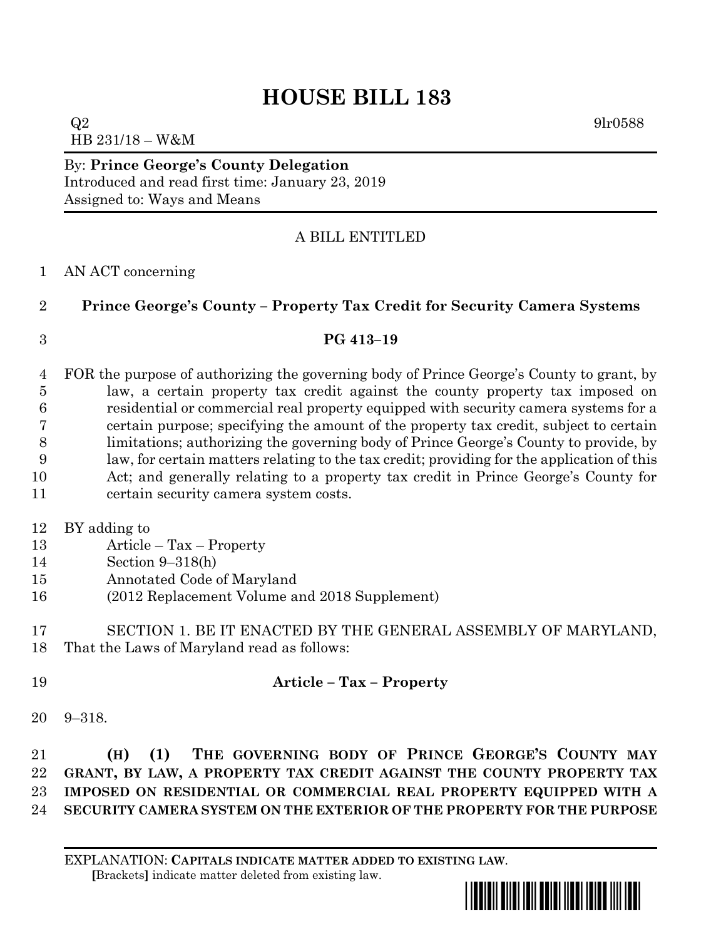# **HOUSE BILL 183**

 $Q2 \qquad \qquad 9\text{l}r0588$ HB 231/18 – W&M

By: **Prince George's County Delegation** Introduced and read first time: January 23, 2019 Assigned to: Ways and Means

# A BILL ENTITLED

### AN ACT concerning

# **Prince George's County – Property Tax Credit for Security Camera Systems**

### **PG 413–19**

 FOR the purpose of authorizing the governing body of Prince George's County to grant, by law, a certain property tax credit against the county property tax imposed on residential or commercial real property equipped with security camera systems for a certain purpose; specifying the amount of the property tax credit, subject to certain limitations; authorizing the governing body of Prince George's County to provide, by law, for certain matters relating to the tax credit; providing for the application of this Act; and generally relating to a property tax credit in Prince George's County for certain security camera system costs.

- 
- BY adding to
- Article Tax Property
- Section 9–318(h)
- Annotated Code of Maryland
- (2012 Replacement Volume and 2018 Supplement)
- SECTION 1. BE IT ENACTED BY THE GENERAL ASSEMBLY OF MARYLAND, That the Laws of Maryland read as follows:
- **Article – Tax – Property**
- 9–318.

 **(H) (1) THE GOVERNING BODY OF PRINCE GEORGE'S COUNTY MAY GRANT, BY LAW, A PROPERTY TAX CREDIT AGAINST THE COUNTY PROPERTY TAX IMPOSED ON RESIDENTIAL OR COMMERCIAL REAL PROPERTY EQUIPPED WITH A SECURITY CAMERA SYSTEM ON THE EXTERIOR OF THE PROPERTY FOR THE PURPOSE** 

\*hb0183\*